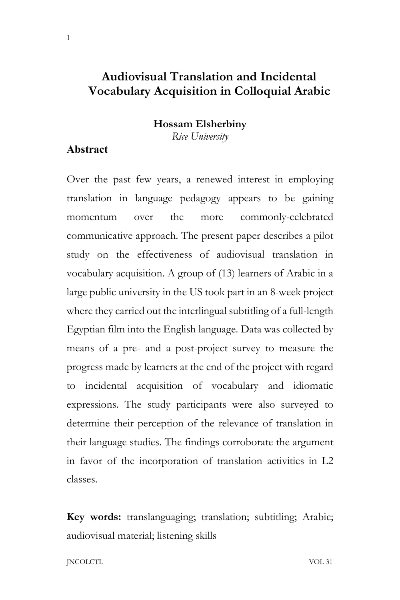# **Audiovisual Translation and Incidental Vocabulary Acquisition in Colloquial Arabic**

### **Hossam Elsherbiny**

*Rice University*

## **Abstract**

Over the past few years, a renewed interest in employing translation in language pedagogy appears to be gaining momentum over the more commonly-celebrated communicative approach. The present paper describes a pilot study on the effectiveness of audiovisual translation in vocabulary acquisition. A group of (13) learners of Arabic in a large public university in the US took part in an 8-week project where they carried out the interlingual subtitling of a full-length Egyptian film into the English language. Data was collected by means of a pre- and a post-project survey to measure the progress made by learners at the end of the project with regard to incidental acquisition of vocabulary and idiomatic expressions. The study participants were also surveyed to determine their perception of the relevance of translation in their language studies. The findings corroborate the argument in favor of the incorporation of translation activities in L2 classes.

**Key words:** translanguaging; translation; subtitling; Arabic; audiovisual material; listening skills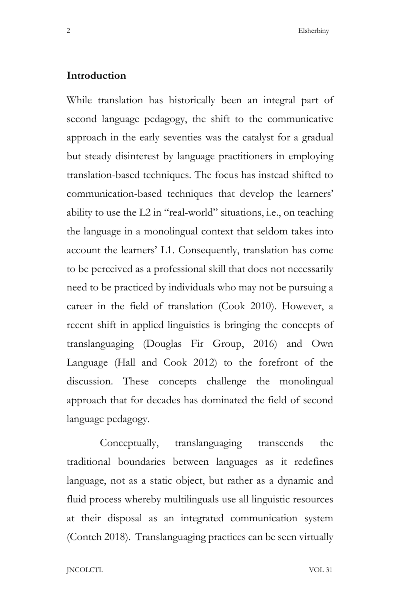### **Introduction**

While translation has historically been an integral part of second language pedagogy, the shift to the communicative approach in the early seventies was the catalyst for a gradual but steady disinterest by language practitioners in employing translation-based techniques. The focus has instead shifted to communication-based techniques that develop the learners' ability to use the L2 in "real-world" situations, i.e., on teaching the language in a monolingual context that seldom takes into account the learners' L1. Consequently, translation has come to be perceived as a professional skill that does not necessarily need to be practiced by individuals who may not be pursuing a career in the field of translation (Cook 2010). However, a recent shift in applied linguistics is bringing the concepts of translanguaging (Douglas Fir Group, 2016) and Own Language (Hall and Cook 2012) to the forefront of the discussion. These concepts challenge the monolingual approach that for decades has dominated the field of second language pedagogy.

Conceptually, translanguaging transcends the traditional boundaries between languages as it redefines language, not as a static object, but rather as a dynamic and fluid process whereby multilinguals use all linguistic resources at their disposal as an integrated communication system (Conteh 2018). Translanguaging practices can be seen virtually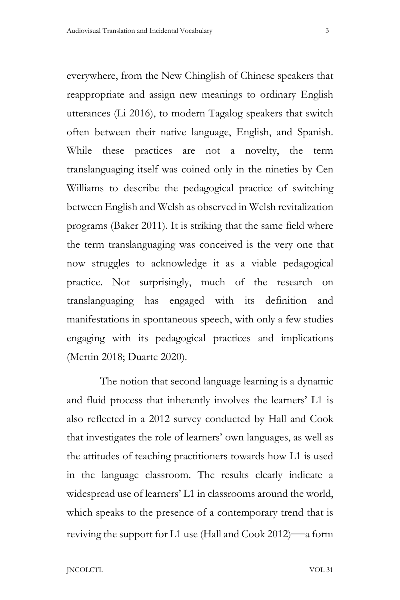everywhere, from the New Chinglish of Chinese speakers that reappropriate and assign new meanings to ordinary English utterances (Li 2016), to modern Tagalog speakers that switch often between their native language, English, and Spanish. While these practices are not a novelty, the term translanguaging itself was coined only in the nineties by Cen Williams to describe the pedagogical practice of switching between English and Welsh as observed in Welsh revitalization programs (Baker 2011). It is striking that the same field where the term translanguaging was conceived is the very one that now struggles to acknowledge it as a viable pedagogical practice. Not surprisingly, much of the research on translanguaging has engaged with its definition and manifestations in spontaneous speech, with only a few studies engaging with its pedagogical practices and implications (Mertin 2018; Duarte 2020).

The notion that second language learning is a dynamic and fluid process that inherently involves the learners' L1 is also reflected in a 2012 survey conducted by Hall and Cook that investigates the role of learners' own languages, as well as the attitudes of teaching practitioners towards how L1 is used in the language classroom. The results clearly indicate a widespread use of learners' L1 in classrooms around the world, which speaks to the presence of a contemporary trend that is reviving the support for L1 use (Hall and Cook 2012)—a form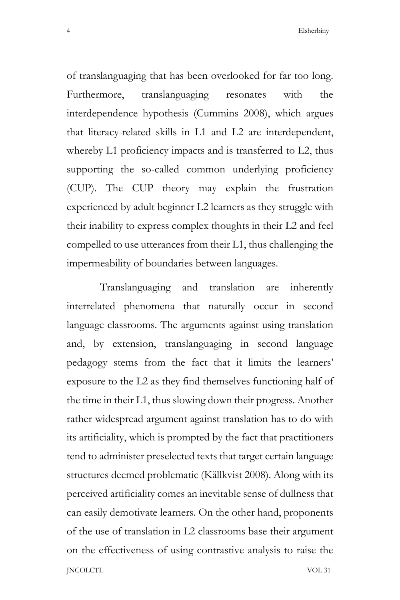of translanguaging that has been overlooked for far too long. Furthermore, translanguaging resonates with the interdependence hypothesis (Cummins 2008), which argues that literacy-related skills in L1 and L2 are interdependent, whereby L1 proficiency impacts and is transferred to L2, thus supporting the so-called common underlying proficiency (CUP). The CUP theory may explain the frustration experienced by adult beginner L2 learners as they struggle with their inability to express complex thoughts in their L2 and feel compelled to use utterances from their L1, thus challenging the impermeability of boundaries between languages.

JNCOLCTL VOL 31 Translanguaging and translation are inherently interrelated phenomena that naturally occur in second language classrooms. The arguments against using translation and, by extension, translanguaging in second language pedagogy stems from the fact that it limits the learners' exposure to the L2 as they find themselves functioning half of the time in their L1, thus slowing down their progress. Another rather widespread argument against translation has to do with its artificiality, which is prompted by the fact that practitioners tend to administer preselected texts that target certain language structures deemed problematic (Källkvist 2008). Along with its perceived artificiality comes an inevitable sense of dullness that can easily demotivate learners. On the other hand, proponents of the use of translation in L2 classrooms base their argument on the effectiveness of using contrastive analysis to raise the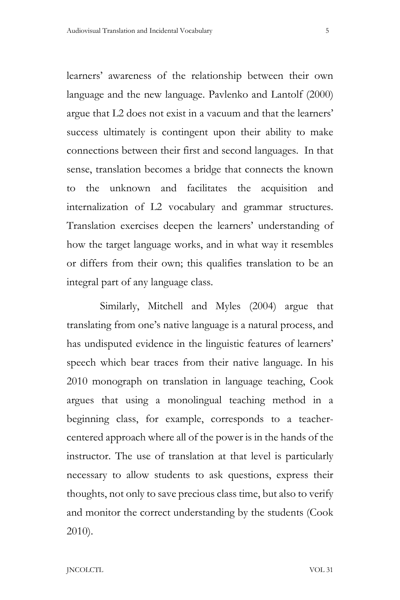learners' awareness of the relationship between their own language and the new language. Pavlenko and Lantolf (2000) argue that L2 does not exist in a vacuum and that the learners' success ultimately is contingent upon their ability to make connections between their first and second languages. In that sense, translation becomes a bridge that connects the known to the unknown and facilitates the acquisition and internalization of L2 vocabulary and grammar structures. Translation exercises deepen the learners' understanding of how the target language works, and in what way it resembles or differs from their own; this qualifies translation to be an integral part of any language class.

Similarly, Mitchell and Myles (2004) argue that translating from one's native language is a natural process, and has undisputed evidence in the linguistic features of learners' speech which bear traces from their native language. In his 2010 monograph on translation in language teaching, Cook argues that using a monolingual teaching method in a beginning class, for example, corresponds to a teachercentered approach where all of the power is in the hands of the instructor. The use of translation at that level is particularly necessary to allow students to ask questions, express their thoughts, not only to save precious class time, but also to verify and monitor the correct understanding by the students (Cook 2010).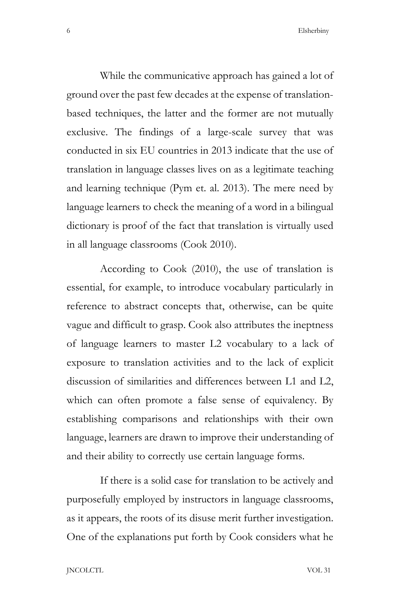While the communicative approach has gained a lot of ground over the past few decades at the expense of translationbased techniques, the latter and the former are not mutually exclusive. The findings of a large-scale survey that was conducted in six EU countries in 2013 indicate that the use of translation in language classes lives on as a legitimate teaching and learning technique (Pym et. al. 2013). The mere need by language learners to check the meaning of a word in a bilingual dictionary is proof of the fact that translation is virtually used in all language classrooms (Cook 2010).

According to Cook (2010), the use of translation is essential, for example, to introduce vocabulary particularly in reference to abstract concepts that, otherwise, can be quite vague and difficult to grasp. Cook also attributes the ineptness of language learners to master L2 vocabulary to a lack of exposure to translation activities and to the lack of explicit discussion of similarities and differences between L1 and L2, which can often promote a false sense of equivalency. By establishing comparisons and relationships with their own language, learners are drawn to improve their understanding of and their ability to correctly use certain language forms.

If there is a solid case for translation to be actively and purposefully employed by instructors in language classrooms, as it appears, the roots of its disuse merit further investigation. One of the explanations put forth by Cook considers what he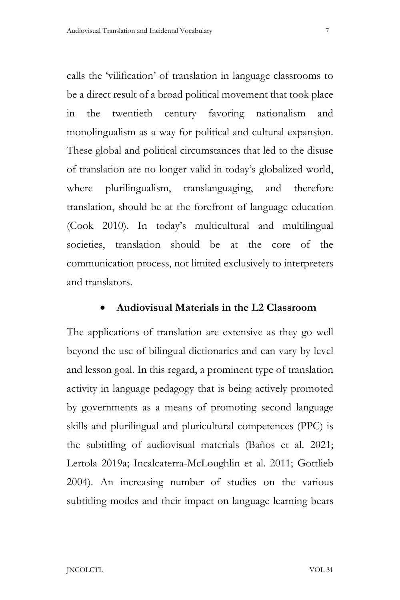calls the 'vilification' of translation in language classrooms to be a direct result of a broad political movement that took place in the twentieth century favoring nationalism and monolingualism as a way for political and cultural expansion. These global and political circumstances that led to the disuse of translation are no longer valid in today's globalized world, where plurilingualism, translanguaging, and therefore translation, should be at the forefront of language education (Cook 2010). In today's multicultural and multilingual societies, translation should be at the core of the communication process, not limited exclusively to interpreters and translators.

#### • **Audiovisual Materials in the L2 Classroom**

The applications of translation are extensive as they go well beyond the use of bilingual dictionaries and can vary by level and lesson goal. In this regard, a prominent type of translation activity in language pedagogy that is being actively promoted by governments as a means of promoting second language skills and plurilingual and pluricultural competences (PPC) is the subtitling of audiovisual materials (Baños et al. 2021; Lertola 2019a; Incalcaterra-McLoughlin et al. 2011; Gottlieb 2004). An increasing number of studies on the various subtitling modes and their impact on language learning bears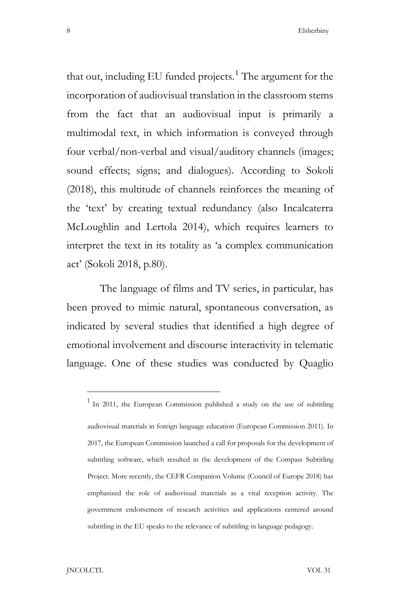8 Blackbook Blackbook Elsherbiny

that out, including EU funded projects.<sup>1</sup> The argument for the incorporation of audiovisual translation in the classroom stems from the fact that an audiovisual input is primarily a multimodal text, in which information is conveyed through four verbal/non-verbal and visual/auditory channels (images; sound effects; signs; and dialogues). According to Sokoli (2018), this multitude of channels reinforces the meaning of the 'text' by creating textual redundancy (also Incalcaterra McLoughlin and Lertola 2014), which requires learners to interpret the text in its totality as 'a complex communication act' (Sokoli 2018, p.80).

The language of films and TV series, in particular, has been proved to mimic natural, spontaneous conversation, as indicated by several studies that identified a high degree of emotional involvement and discourse interactivity in telematic language. One of these studies was conducted by Quaglio

 $1$  In 2011, the European Commission published a study on the use of subtitling audiovisual materials in foreign language education (European Commission 2011). In 2017, the European Commission launched a call for proposals for the development of subtitling software, which resulted in the development of the Compass Subtitling Project. More recently, the CEFR Companion Volume (Council of Europe 2018) has emphasized the role of audiovisual materials as a vital reception activity. The government endorsement of research activities and applications centered around subtitling in the EU speaks to the relevance of subtitling in language pedagogy.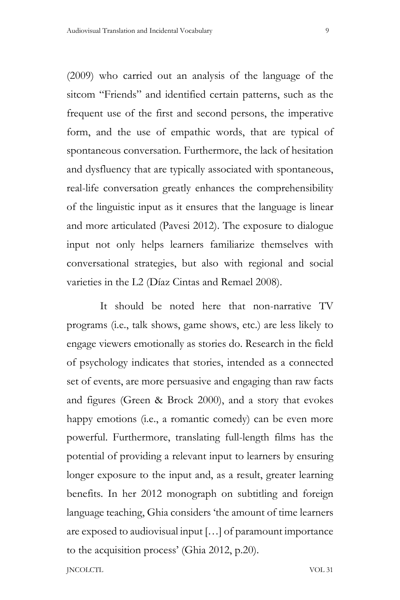(2009) who carried out an analysis of the language of the sitcom "Friends" and identified certain patterns, such as the frequent use of the first and second persons, the imperative form, and the use of empathic words, that are typical of spontaneous conversation. Furthermore, the lack of hesitation and dysfluency that are typically associated with spontaneous, real-life conversation greatly enhances the comprehensibility of the linguistic input as it ensures that the language is linear and more articulated (Pavesi 2012). The exposure to dialogue input not only helps learners familiarize themselves with conversational strategies, but also with regional and social varieties in the L2 (Díaz Cintas and Remael 2008).

It should be noted here that non-narrative TV programs (i.e., talk shows, game shows, etc.) are less likely to engage viewers emotionally as stories do. Research in the field of psychology indicates that stories, intended as a connected set of events, are more persuasive and engaging than raw facts and figures (Green & Brock 2000), and a story that evokes happy emotions (i.e., a romantic comedy) can be even more powerful. Furthermore, translating full-length films has the potential of providing a relevant input to learners by ensuring longer exposure to the input and, as a result, greater learning benefits. In her 2012 monograph on subtitling and foreign language teaching, Ghia considers 'the amount of time learners are exposed to audiovisual input […] of paramount importance to the acquisition process' (Ghia 2012, p.20).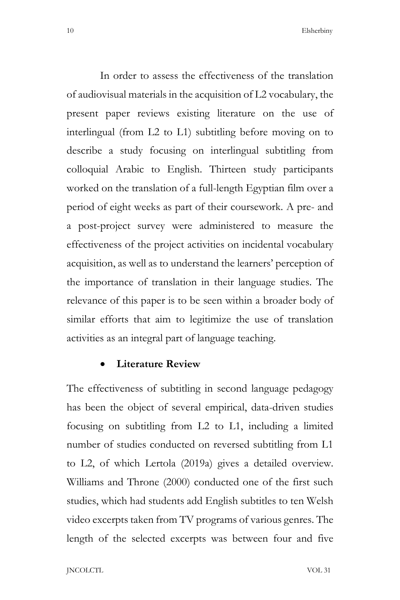In order to assess the effectiveness of the translation of audiovisual materials in the acquisition of L2 vocabulary, the present paper reviews existing literature on the use of interlingual (from L2 to L1) subtitling before moving on to describe a study focusing on interlingual subtitling from colloquial Arabic to English. Thirteen study participants worked on the translation of a full-length Egyptian film over a period of eight weeks as part of their coursework. A pre- and a post-project survey were administered to measure the effectiveness of the project activities on incidental vocabulary acquisition, as well as to understand the learners' perception of the importance of translation in their language studies. The relevance of this paper is to be seen within a broader body of similar efforts that aim to legitimize the use of translation activities as an integral part of language teaching.

#### • **Literature Review**

The effectiveness of subtitling in second language pedagogy has been the object of several empirical, data-driven studies focusing on subtitling from L2 to L1, including a limited number of studies conducted on reversed subtitling from L1 to L2, of which Lertola (2019a) gives a detailed overview. Williams and Throne (2000) conducted one of the first such studies, which had students add English subtitles to ten Welsh video excerpts taken from TV programs of various genres. The length of the selected excerpts was between four and five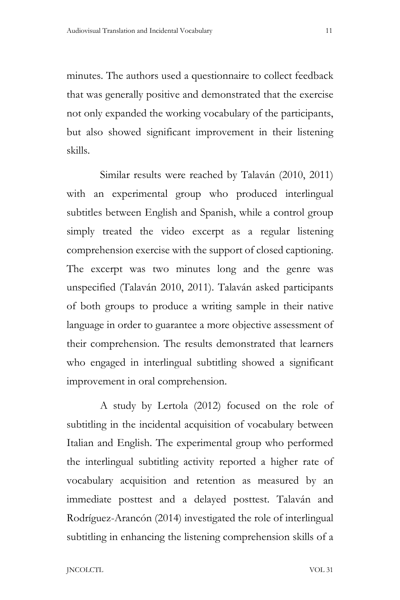minutes. The authors used a questionnaire to collect feedback that was generally positive and demonstrated that the exercise not only expanded the working vocabulary of the participants, but also showed significant improvement in their listening skills.

Similar results were reached by Talaván (2010, 2011) with an experimental group who produced interlingual subtitles between English and Spanish, while a control group simply treated the video excerpt as a regular listening comprehension exercise with the support of closed captioning. The excerpt was two minutes long and the genre was unspecified (Talaván 2010, 2011). Talaván asked participants of both groups to produce a writing sample in their native language in order to guarantee a more objective assessment of their comprehension. The results demonstrated that learners who engaged in interlingual subtitling showed a significant improvement in oral comprehension.

A study by Lertola (2012) focused on the role of subtitling in the incidental acquisition of vocabulary between Italian and English. The experimental group who performed the interlingual subtitling activity reported a higher rate of vocabulary acquisition and retention as measured by an immediate posttest and a delayed posttest. Talaván and Rodríguez-Arancón (2014) investigated the role of interlingual subtitling in enhancing the listening comprehension skills of a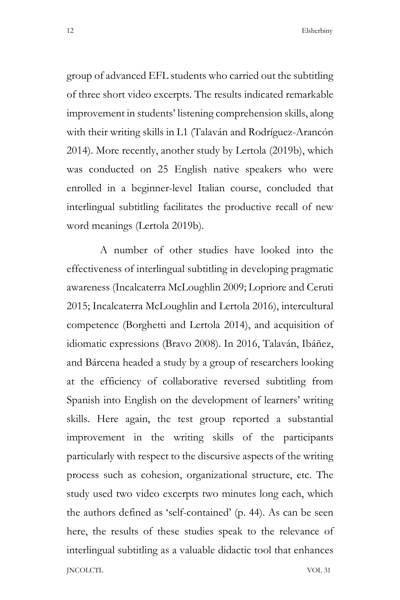group of advanced EFL students who carried out the subtitling of three short video excerpts. The results indicated remarkable improvement in students' listening comprehension skills, along with their writing skills in L1 (Talaván and Rodríguez-Arancón 2014). More recently, another study by Lertola (2019b), which was conducted on 25 English native speakers who were enrolled in a beginner-level Italian course, concluded that interlingual subtitling facilitates the productive recall of new word meanings (Lertola 2019b).

JNCOLCTL VOL 31 A number of other studies have looked into the effectiveness of interlingual subtitling in developing pragmatic awareness (Incalcaterra McLoughlin 2009; Lopriore and Ceruti 2015; Incalcaterra McLoughlin and Lertola 2016), intercultural competence (Borghetti and Lertola 2014), and acquisition of idiomatic expressions (Bravo 2008). In 2016, Talaván, Ibáñez, and Bárcena headed a study by a group of researchers looking at the efficiency of collaborative reversed subtitling from Spanish into English on the development of learners' writing skills. Here again, the test group reported a substantial improvement in the writing skills of the participants particularly with respect to the discursive aspects of the writing process such as cohesion, organizational structure, etc. The study used two video excerpts two minutes long each, which the authors defined as 'self-contained' (p. 44). As can be seen here, the results of these studies speak to the relevance of interlingual subtitling as a valuable didactic tool that enhances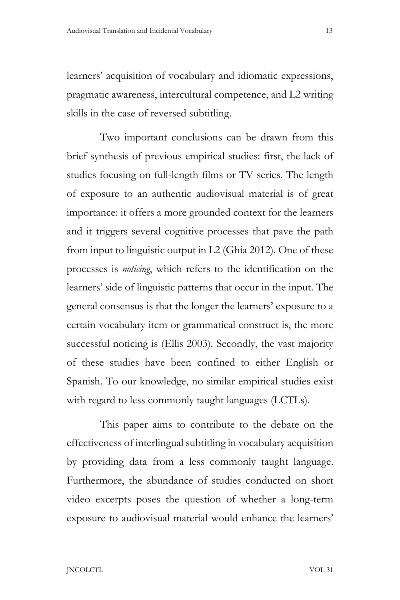learners' acquisition of vocabulary and idiomatic expressions, pragmatic awareness, intercultural competence, and L2 writing skills in the case of reversed subtitling.

Two important conclusions can be drawn from this brief synthesis of previous empirical studies: first, the lack of studies focusing on full-length films or TV series. The length of exposure to an authentic audiovisual material is of great importance: it offers a more grounded context for the learners and it triggers several cognitive processes that pave the path from input to linguistic output in L2 (Ghia 2012). One of these processes is *noticing*, which refers to the identification on the learners' side of linguistic patterns that occur in the input. The general consensus is that the longer the learners' exposure to a certain vocabulary item or grammatical construct is, the more successful noticing is (Ellis 2003). Secondly, the vast majority of these studies have been confined to either English or Spanish. To our knowledge, no similar empirical studies exist with regard to less commonly taught languages (LCTLs).

This paper aims to contribute to the debate on the effectiveness of interlingual subtitling in vocabulary acquisition by providing data from a less commonly taught language. Furthermore, the abundance of studies conducted on short video excerpts poses the question of whether a long-term exposure to audiovisual material would enhance the learners'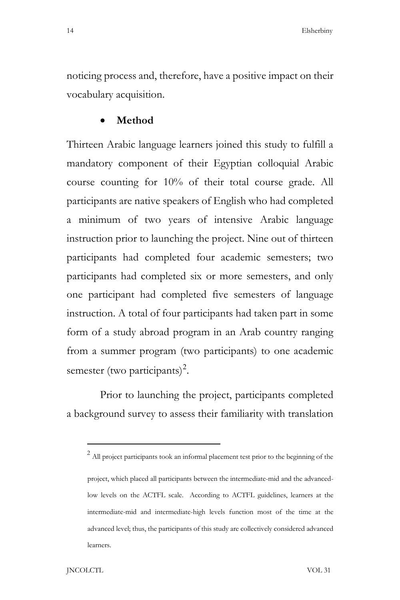noticing process and, therefore, have a positive impact on their vocabulary acquisition.

#### • **Method**

Thirteen Arabic language learners joined this study to fulfill a mandatory component of their Egyptian colloquial Arabic course counting for 10% of their total course grade. All participants are native speakers of English who had completed a minimum of two years of intensive Arabic language instruction prior to launching the project. Nine out of thirteen participants had completed four academic semesters; two participants had completed six or more semesters, and only one participant had completed five semesters of language instruction. A total of four participants had taken part in some form of a study abroad program in an Arab country ranging from a summer program (two participants) to one academic semester (two participants)<sup>2</sup>.

Prior to launching the project, participants completed a background survey to assess their familiarity with translation

 $2$  All project participants took an informal placement test prior to the beginning of the project, which placed all participants between the intermediate-mid and the advancedlow levels on the ACTFL scale. According to ACTFL guidelines, learners at the intermediate-mid and intermediate-high levels function most of the time at the advanced level; thus, the participants of this study are collectively considered advanced learners.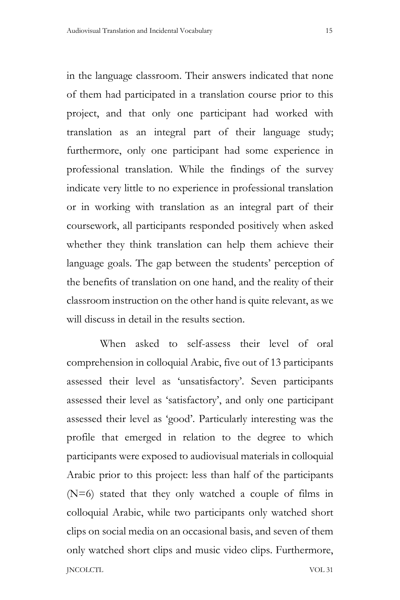in the language classroom. Their answers indicated that none of them had participated in a translation course prior to this project, and that only one participant had worked with translation as an integral part of their language study; furthermore, only one participant had some experience in professional translation. While the findings of the survey indicate very little to no experience in professional translation or in working with translation as an integral part of their coursework, all participants responded positively when asked whether they think translation can help them achieve their language goals. The gap between the students' perception of the benefits of translation on one hand, and the reality of their classroom instruction on the other hand is quite relevant, as we will discuss in detail in the results section.

JNCOLCTL VOL 31 When asked to self-assess their level of oral comprehension in colloquial Arabic, five out of 13 participants assessed their level as 'unsatisfactory'. Seven participants assessed their level as 'satisfactory', and only one participant assessed their level as 'good'. Particularly interesting was the profile that emerged in relation to the degree to which participants were exposed to audiovisual materials in colloquial Arabic prior to this project: less than half of the participants (N=6) stated that they only watched a couple of films in colloquial Arabic, while two participants only watched short clips on social media on an occasional basis, and seven of them only watched short clips and music video clips. Furthermore,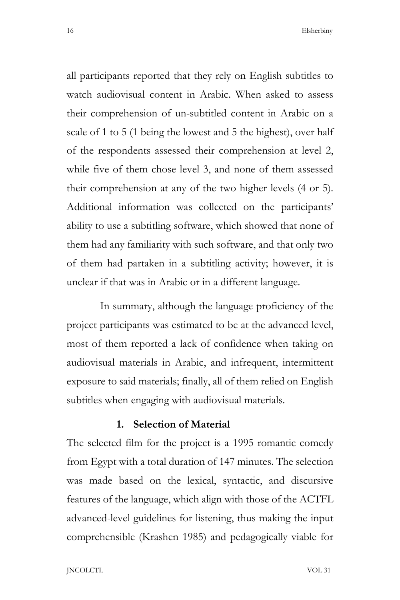all participants reported that they rely on English subtitles to watch audiovisual content in Arabic. When asked to assess their comprehension of un-subtitled content in Arabic on a scale of 1 to 5 (1 being the lowest and 5 the highest), over half of the respondents assessed their comprehension at level 2, while five of them chose level 3, and none of them assessed their comprehension at any of the two higher levels (4 or 5). Additional information was collected on the participants' ability to use a subtitling software, which showed that none of them had any familiarity with such software, and that only two of them had partaken in a subtitling activity; however, it is unclear if that was in Arabic or in a different language.

In summary, although the language proficiency of the project participants was estimated to be at the advanced level, most of them reported a lack of confidence when taking on audiovisual materials in Arabic, and infrequent, intermittent exposure to said materials; finally, all of them relied on English subtitles when engaging with audiovisual materials.

## **1. Selection of Material**

The selected film for the project is a 1995 romantic comedy from Egypt with a total duration of 147 minutes. The selection was made based on the lexical, syntactic, and discursive features of the language, which align with those of the ACTFL advanced-level guidelines for listening, thus making the input comprehensible (Krashen 1985) and pedagogically viable for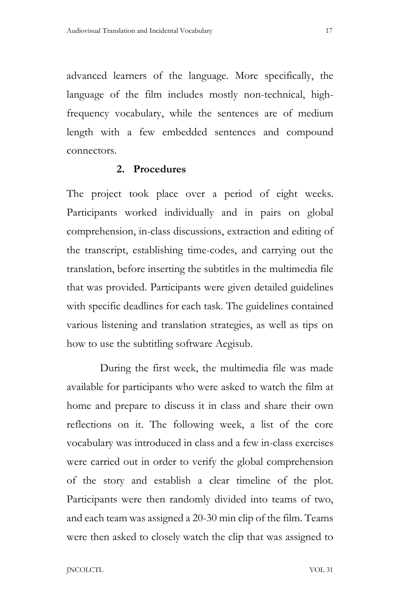advanced learners of the language. More specifically, the language of the film includes mostly non-technical, highfrequency vocabulary, while the sentences are of medium length with a few embedded sentences and compound connectors.

#### **2. Procedures**

The project took place over a period of eight weeks. Participants worked individually and in pairs on global comprehension, in-class discussions, extraction and editing of the transcript, establishing time-codes, and carrying out the translation, before inserting the subtitles in the multimedia file that was provided. Participants were given detailed guidelines with specific deadlines for each task. The guidelines contained various listening and translation strategies, as well as tips on how to use the subtitling software Aegisub.

During the first week, the multimedia file was made available for participants who were asked to watch the film at home and prepare to discuss it in class and share their own reflections on it. The following week, a list of the core vocabulary was introduced in class and a few in-class exercises were carried out in order to verify the global comprehension of the story and establish a clear timeline of the plot. Participants were then randomly divided into teams of two, and each team was assigned a 20-30 min clip of the film. Teams were then asked to closely watch the clip that was assigned to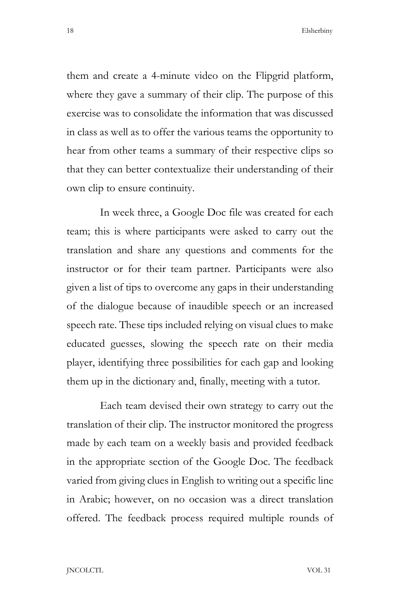them and create a 4-minute video on the Flipgrid platform, where they gave a summary of their clip. The purpose of this exercise was to consolidate the information that was discussed in class as well as to offer the various teams the opportunity to hear from other teams a summary of their respective clips so that they can better contextualize their understanding of their own clip to ensure continuity.

In week three, a Google Doc file was created for each team; this is where participants were asked to carry out the translation and share any questions and comments for the instructor or for their team partner. Participants were also given a list of tips to overcome any gaps in their understanding of the dialogue because of inaudible speech or an increased speech rate. These tips included relying on visual clues to make educated guesses, slowing the speech rate on their media player, identifying three possibilities for each gap and looking them up in the dictionary and, finally, meeting with a tutor.

Each team devised their own strategy to carry out the translation of their clip. The instructor monitored the progress made by each team on a weekly basis and provided feedback in the appropriate section of the Google Doc. The feedback varied from giving clues in English to writing out a specific line in Arabic; however, on no occasion was a direct translation offered. The feedback process required multiple rounds of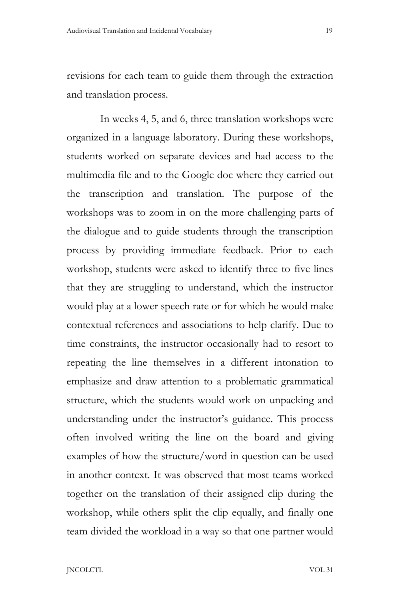revisions for each team to guide them through the extraction and translation process.

In weeks 4, 5, and 6, three translation workshops were organized in a language laboratory. During these workshops, students worked on separate devices and had access to the multimedia file and to the Google doc where they carried out the transcription and translation. The purpose of the workshops was to zoom in on the more challenging parts of the dialogue and to guide students through the transcription process by providing immediate feedback. Prior to each workshop, students were asked to identify three to five lines that they are struggling to understand, which the instructor would play at a lower speech rate or for which he would make contextual references and associations to help clarify. Due to time constraints, the instructor occasionally had to resort to repeating the line themselves in a different intonation to emphasize and draw attention to a problematic grammatical structure, which the students would work on unpacking and understanding under the instructor's guidance. This process often involved writing the line on the board and giving examples of how the structure/word in question can be used in another context. It was observed that most teams worked together on the translation of their assigned clip during the workshop, while others split the clip equally, and finally one team divided the workload in a way so that one partner would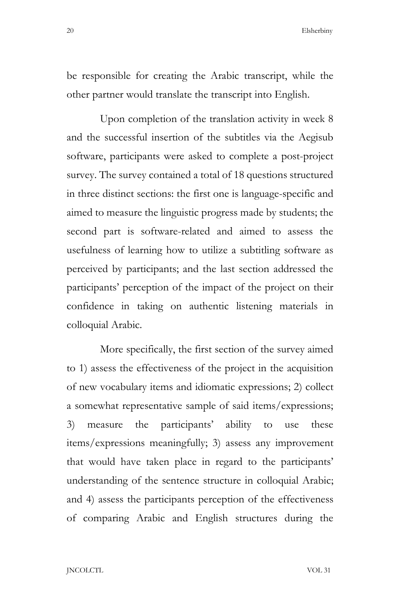be responsible for creating the Arabic transcript, while the other partner would translate the transcript into English.

Upon completion of the translation activity in week 8 and the successful insertion of the subtitles via the Aegisub software, participants were asked to complete a post-project survey. The survey contained a total of 18 questions structured in three distinct sections: the first one is language-specific and aimed to measure the linguistic progress made by students; the second part is software-related and aimed to assess the usefulness of learning how to utilize a subtitling software as perceived by participants; and the last section addressed the participants' perception of the impact of the project on their confidence in taking on authentic listening materials in colloquial Arabic.

More specifically, the first section of the survey aimed to 1) assess the effectiveness of the project in the acquisition of new vocabulary items and idiomatic expressions; 2) collect a somewhat representative sample of said items/expressions; 3) measure the participants' ability to use these items/expressions meaningfully; 3) assess any improvement that would have taken place in regard to the participants' understanding of the sentence structure in colloquial Arabic; and 4) assess the participants perception of the effectiveness of comparing Arabic and English structures during the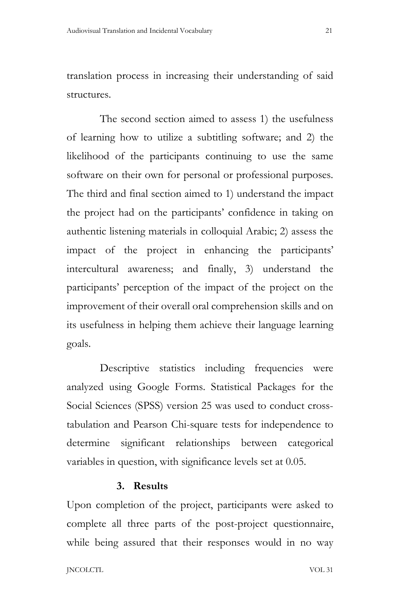translation process in increasing their understanding of said structures.

The second section aimed to assess 1) the usefulness of learning how to utilize a subtitling software; and 2) the likelihood of the participants continuing to use the same software on their own for personal or professional purposes. The third and final section aimed to 1) understand the impact the project had on the participants' confidence in taking on authentic listening materials in colloquial Arabic; 2) assess the impact of the project in enhancing the participants' intercultural awareness; and finally, 3) understand the participants' perception of the impact of the project on the improvement of their overall oral comprehension skills and on its usefulness in helping them achieve their language learning goals.

Descriptive statistics including frequencies were analyzed using Google Forms. Statistical Packages for the Social Sciences (SPSS) version 25 was used to conduct crosstabulation and Pearson Chi-square tests for independence to determine significant relationships between categorical variables in question, with significance levels set at 0.05.

#### **3. Results**

Upon completion of the project, participants were asked to complete all three parts of the post-project questionnaire, while being assured that their responses would in no way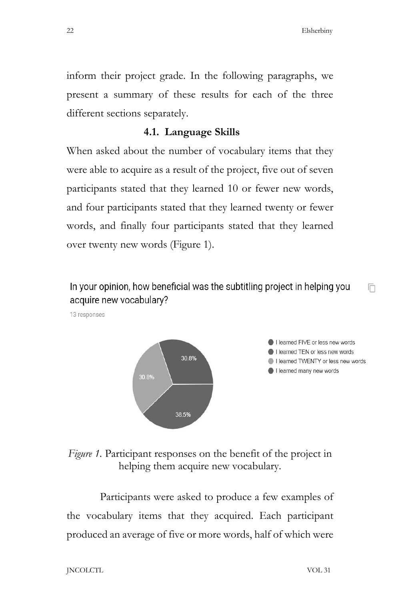m

inform their project grade. In the following paragraphs, we present a summary of these results for each of the three different sections separately.

## **4.1. Language Skills**

When asked about the number of vocabulary items that they were able to acquire as a result of the project, five out of seven participants stated that they learned 10 or fewer new words, and four participants stated that they learned twenty or fewer words, and finally four participants stated that they learned over twenty new words (Figure 1).

In your opinion, how beneficial was the subtitling project in helping you acquire new vocabulary?

13 responses



*Figure 1.* Participant responses on the benefit of the project in helping them acquire new vocabulary.

Participants were asked to produce a few examples of the vocabulary items that they acquired. Each participant produced an average of five or more words, half of which were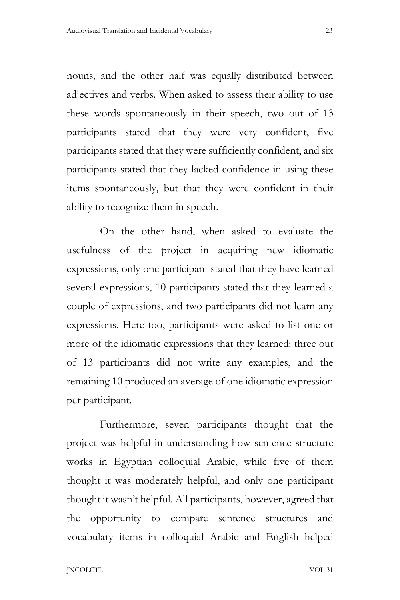nouns, and the other half was equally distributed between adjectives and verbs. When asked to assess their ability to use these words spontaneously in their speech, two out of 13 participants stated that they were very confident, five participants stated that they were sufficiently confident, and six participants stated that they lacked confidence in using these items spontaneously, but that they were confident in their ability to recognize them in speech.

On the other hand, when asked to evaluate the usefulness of the project in acquiring new idiomatic expressions, only one participant stated that they have learned several expressions, 10 participants stated that they learned a couple of expressions, and two participants did not learn any expressions. Here too, participants were asked to list one or more of the idiomatic expressions that they learned: three out of 13 participants did not write any examples, and the remaining 10 produced an average of one idiomatic expression per participant.

Furthermore, seven participants thought that the project was helpful in understanding how sentence structure works in Egyptian colloquial Arabic, while five of them thought it was moderately helpful, and only one participant thought it wasn't helpful. All participants, however, agreed that the opportunity to compare sentence structures and vocabulary items in colloquial Arabic and English helped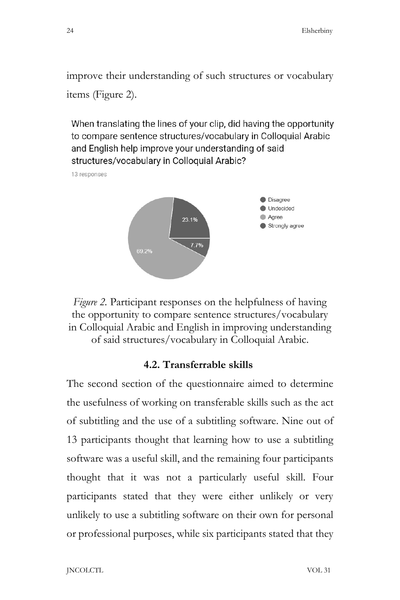improve their understanding of such structures or vocabulary items (Figure 2).

When translating the lines of your clip, did having the opportunity to compare sentence structures/vocabulary in Colloquial Arabic and English help improve your understanding of said structures/vocabulary in Colloquial Arabic?

13 responses





#### **4.2. Transferrable skills**

The second section of the questionnaire aimed to determine the usefulness of working on transferable skills such as the act of subtitling and the use of a subtitling software. Nine out of 13 participants thought that learning how to use a subtitling software was a useful skill, and the remaining four participants thought that it was not a particularly useful skill. Four participants stated that they were either unlikely or very unlikely to use a subtitling software on their own for personal or professional purposes, while six participants stated that they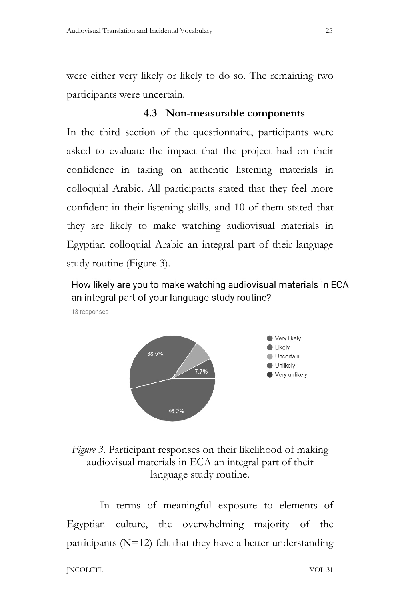were either very likely or likely to do so. The remaining two participants were uncertain.

## **4.3 Non-measurable components**

In the third section of the questionnaire, participants were asked to evaluate the impact that the project had on their confidence in taking on authentic listening materials in colloquial Arabic. All participants stated that they feel more confident in their listening skills, and 10 of them stated that they are likely to make watching audiovisual materials in Egyptian colloquial Arabic an integral part of their language study routine (Figure 3).

How likely are you to make watching audiovisual materials in ECA an integral part of your language study routine?





# *Figure 3.* Participant responses on their likelihood of making audiovisual materials in ECA an integral part of their language study routine.

In terms of meaningful exposure to elements of Egyptian culture, the overwhelming majority of the participants ( $N=12$ ) felt that they have a better understanding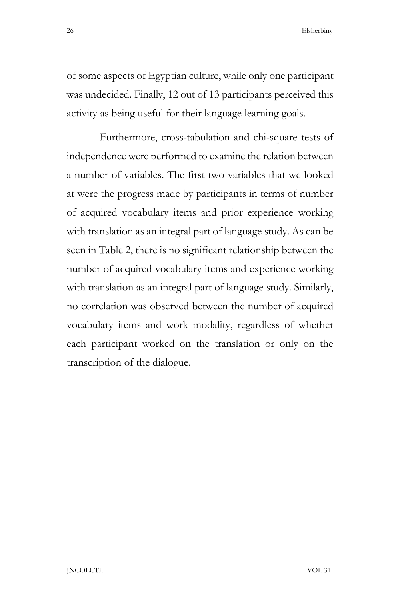of some aspects of Egyptian culture, while only one participant was undecided. Finally, 12 out of 13 participants perceived this activity as being useful for their language learning goals.

Furthermore, cross-tabulation and chi-square tests of independence were performed to examine the relation between a number of variables. The first two variables that we looked at were the progress made by participants in terms of number of acquired vocabulary items and prior experience working with translation as an integral part of language study. As can be seen in Table 2, there is no significant relationship between the number of acquired vocabulary items and experience working with translation as an integral part of language study. Similarly, no correlation was observed between the number of acquired vocabulary items and work modality, regardless of whether each participant worked on the translation or only on the transcription of the dialogue.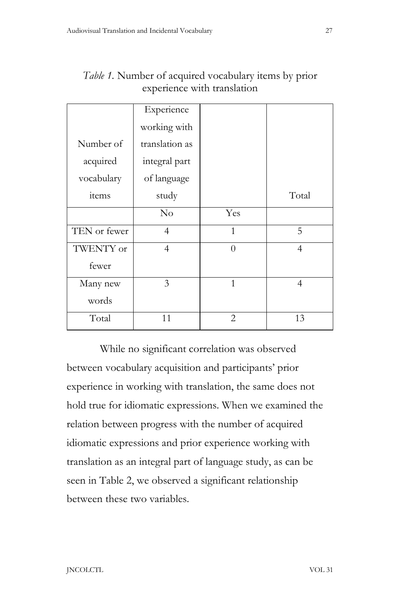|              | Experience     |                |                |
|--------------|----------------|----------------|----------------|
|              | working with   |                |                |
| Number of    | translation as |                |                |
| acquired     | integral part  |                |                |
| vocabulary   | of language    |                |                |
| items        | study          |                | Total          |
|              | No             | Yes            |                |
| TEN or fewer | 4              | $\mathbf{1}$   | 5              |
| TWENTY or    | $\overline{4}$ | $\Omega$       | $\overline{4}$ |
| fewer        |                |                |                |
| Many new     | 3              | $\mathbf{1}$   | 4              |
| words        |                |                |                |
| Total        | 11             | $\overline{c}$ | 13             |

*Table 1.* Number of acquired vocabulary items by prior experience with translation

While no significant correlation was observed between vocabulary acquisition and participants' prior experience in working with translation, the same does not hold true for idiomatic expressions. When we examined the relation between progress with the number of acquired idiomatic expressions and prior experience working with translation as an integral part of language study, as can be seen in Table 2, we observed a significant relationship between these two variables.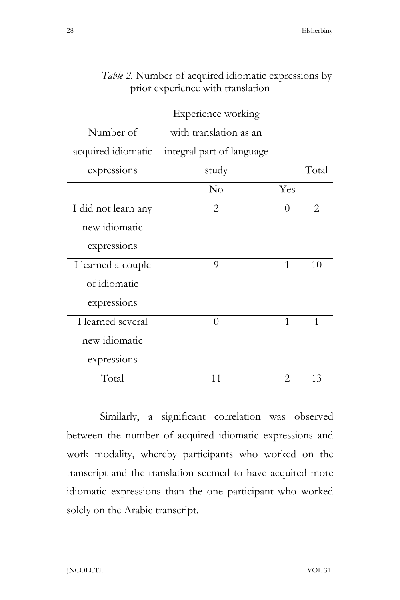|                     | Experience working        |          |       |
|---------------------|---------------------------|----------|-------|
| Number of           | with translation as an    |          |       |
| acquired idiomatic  | integral part of language |          |       |
| expressions         | study                     |          | Total |
|                     | $\rm No$                  | Yes      |       |
| I did not learn any | $\overline{2}$            | $\theta$ | 2     |
| new idiomatic       |                           |          |       |
| expressions         |                           |          |       |
| I learned a couple  | $\Omega$                  | 1        | 10    |
| of idiomatic        |                           |          |       |
| expressions         |                           |          |       |
| I learned several   | $\Omega$                  | 1        | 1     |
| new idiomatic       |                           |          |       |
| expressions         |                           |          |       |
| Total               | 11                        | 2        | 13    |

# *Table 2.* Number of acquired idiomatic expressions by prior experience with translation

Similarly, a significant correlation was observed between the number of acquired idiomatic expressions and work modality, whereby participants who worked on the transcript and the translation seemed to have acquired more idiomatic expressions than the one participant who worked solely on the Arabic transcript.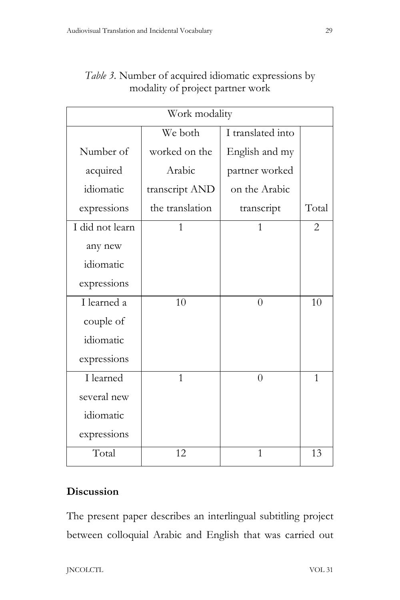| Work modality   |                 |                   |       |  |  |
|-----------------|-----------------|-------------------|-------|--|--|
|                 | We both         | I translated into |       |  |  |
| Number of       | worked on the   | English and my    |       |  |  |
| acquired        | Arabic          | partner worked    |       |  |  |
| idiomatic       | transcript AND  | on the Arabic     |       |  |  |
| expressions     | the translation | transcript        | Total |  |  |
| I did not learn | 1               | 1                 | 2     |  |  |
| any new         |                 |                   |       |  |  |
| idiomatic       |                 |                   |       |  |  |
| expressions     |                 |                   |       |  |  |
| I learned a     | 10              | $\overline{0}$    | 10    |  |  |
| couple of       |                 |                   |       |  |  |
| idiomatic       |                 |                   |       |  |  |
| expressions     |                 |                   |       |  |  |
| I learned       | $\mathbf{1}$    | $\overline{0}$    | 1     |  |  |
| several new     |                 |                   |       |  |  |
| idiomatic       |                 |                   |       |  |  |
| expressions     |                 |                   |       |  |  |
| Total           | 12              | 1                 | 13    |  |  |

# *Table 3.* Number of acquired idiomatic expressions by modality of project partner work

# **Discussion**

The present paper describes an interlingual subtitling project between colloquial Arabic and English that was carried out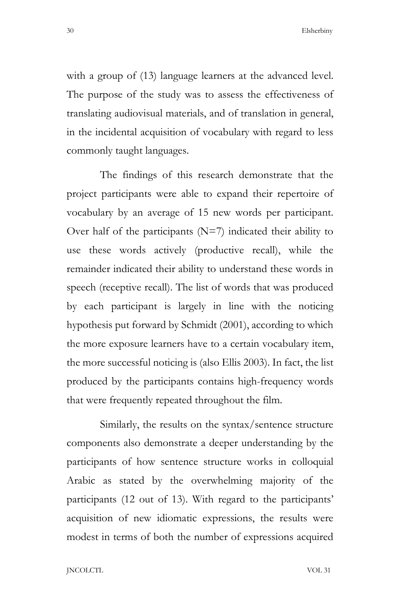with a group of (13) language learners at the advanced level. The purpose of the study was to assess the effectiveness of translating audiovisual materials, and of translation in general, in the incidental acquisition of vocabulary with regard to less commonly taught languages.

The findings of this research demonstrate that the project participants were able to expand their repertoire of vocabulary by an average of 15 new words per participant. Over half of the participants  $(N=7)$  indicated their ability to use these words actively (productive recall), while the remainder indicated their ability to understand these words in speech (receptive recall). The list of words that was produced by each participant is largely in line with the noticing hypothesis put forward by Schmidt (2001), according to which the more exposure learners have to a certain vocabulary item, the more successful noticing is (also Ellis 2003). In fact, the list produced by the participants contains high-frequency words that were frequently repeated throughout the film.

Similarly, the results on the syntax/sentence structure components also demonstrate a deeper understanding by the participants of how sentence structure works in colloquial Arabic as stated by the overwhelming majority of the participants (12 out of 13). With regard to the participants' acquisition of new idiomatic expressions, the results were modest in terms of both the number of expressions acquired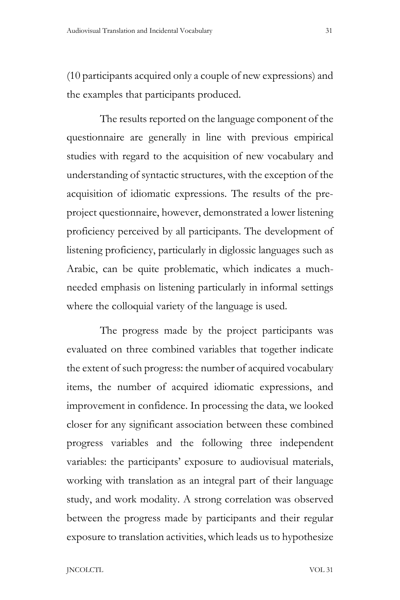(10 participants acquired only a couple of new expressions) and the examples that participants produced.

The results reported on the language component of the questionnaire are generally in line with previous empirical studies with regard to the acquisition of new vocabulary and understanding of syntactic structures, with the exception of the acquisition of idiomatic expressions. The results of the preproject questionnaire, however, demonstrated a lower listening proficiency perceived by all participants. The development of listening proficiency, particularly in diglossic languages such as Arabic, can be quite problematic, which indicates a muchneeded emphasis on listening particularly in informal settings where the colloquial variety of the language is used.

The progress made by the project participants was evaluated on three combined variables that together indicate the extent of such progress: the number of acquired vocabulary items, the number of acquired idiomatic expressions, and improvement in confidence. In processing the data, we looked closer for any significant association between these combined progress variables and the following three independent variables: the participants' exposure to audiovisual materials, working with translation as an integral part of their language study, and work modality. A strong correlation was observed between the progress made by participants and their regular exposure to translation activities, which leads us to hypothesize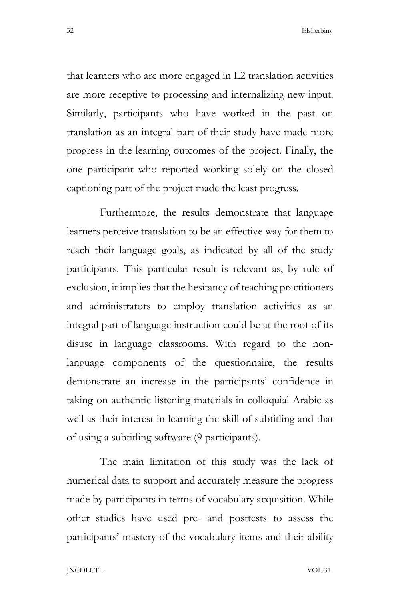that learners who are more engaged in L2 translation activities are more receptive to processing and internalizing new input. Similarly, participants who have worked in the past on translation as an integral part of their study have made more progress in the learning outcomes of the project. Finally, the one participant who reported working solely on the closed captioning part of the project made the least progress.

Furthermore, the results demonstrate that language learners perceive translation to be an effective way for them to reach their language goals, as indicated by all of the study participants. This particular result is relevant as, by rule of exclusion, it implies that the hesitancy of teaching practitioners and administrators to employ translation activities as an integral part of language instruction could be at the root of its disuse in language classrooms. With regard to the nonlanguage components of the questionnaire, the results demonstrate an increase in the participants' confidence in taking on authentic listening materials in colloquial Arabic as well as their interest in learning the skill of subtitling and that of using a subtitling software (9 participants).

The main limitation of this study was the lack of numerical data to support and accurately measure the progress made by participants in terms of vocabulary acquisition. While other studies have used pre- and posttests to assess the participants' mastery of the vocabulary items and their ability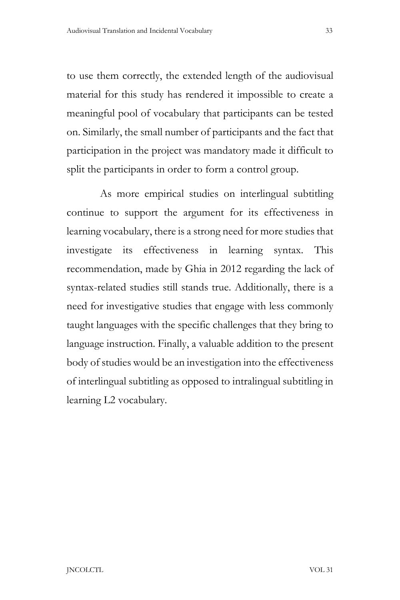to use them correctly, the extended length of the audiovisual material for this study has rendered it impossible to create a meaningful pool of vocabulary that participants can be tested on. Similarly, the small number of participants and the fact that participation in the project was mandatory made it difficult to split the participants in order to form a control group.

As more empirical studies on interlingual subtitling continue to support the argument for its effectiveness in learning vocabulary, there is a strong need for more studies that investigate its effectiveness in learning syntax. This recommendation, made by Ghia in 2012 regarding the lack of syntax-related studies still stands true. Additionally, there is a need for investigative studies that engage with less commonly taught languages with the specific challenges that they bring to language instruction. Finally, a valuable addition to the present body of studies would be an investigation into the effectiveness of interlingual subtitling as opposed to intralingual subtitling in learning L2 vocabulary.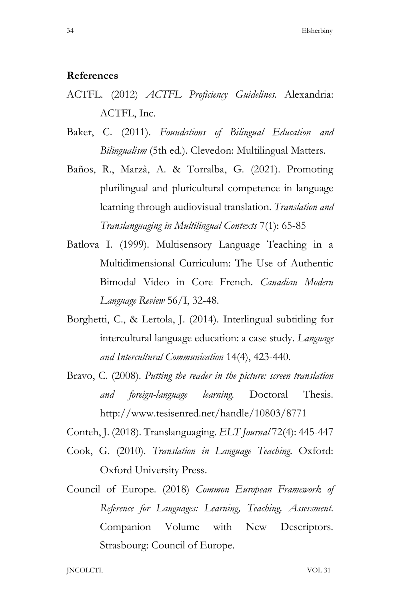#### **References**

- ACTFL. (2012) *ACTFL Proficiency Guidelines.* Alexandria: ACTFL, Inc.
- Baker, C. (2011). *Foundations of Bilingual Education and Bilingualism* (5th ed.). Clevedon: Multilingual Matters.
- Baños, R., Marzà, A. & Torralba, G. (2021). Promoting plurilingual and pluricultural competence in language learning through audiovisual translation. *Translation and Translanguaging in Multilingual Contexts* 7(1): 65-85
- Batlova I. (1999). Multisensory Language Teaching in a Multidimensional Curriculum: The Use of Authentic Bimodal Video in Core French. *Canadian Modern Language Review* 56/I, 32-48.
- Borghetti, C., & Lertola, J. (2014). Interlingual subtitling for intercultural language education: a case study. *Language and Intercultural Communication* 14(4), 423-440.
- Bravo, C. (2008). *Putting the reader in the picture: screen translation and foreign-language learning*. Doctoral Thesis. http://www.tesisenred.net/handle/10803/8771

Conteh, J. (2018). Translanguaging. *ELT Journal* 72(4): 445-447

- Cook, G. (2010). *Translation in Language Teaching*. Oxford: Oxford University Press.
- Council of Europe. (2018) *Common European Framework of Reference for Languages: Learning, Teaching, Assessment*. Companion Volume with New Descriptors. Strasbourg: Council of Europe.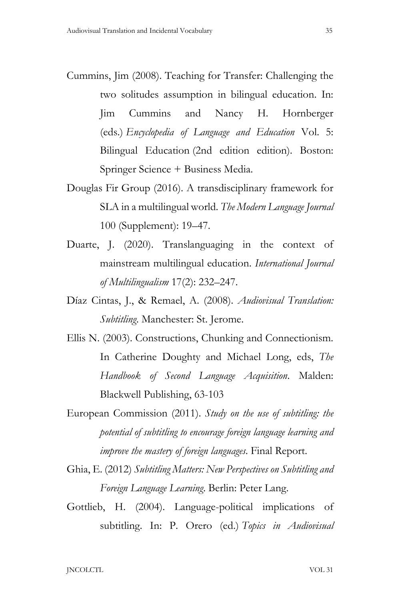- Cummins, Jim (2008). Teaching for Transfer: Challenging the two solitudes assumption in bilingual education. In: Jim Cummins and Nancy H. Hornberger (eds.) *Encyclopedia of Language and Education* Vol. 5: Bilingual Education (2nd edition edition). Boston: Springer Science + Business Media.
- Douglas Fir Group (2016). A transdisciplinary framework for SLA in a multilingual world. *The Modern Language Journal* 100 (Supplement): 19–47.
- Duarte, J. (2020). Translanguaging in the context of mainstream multilingual education. *International Journal of Multilingualism* 17(2): 232–247.
- Díaz Cintas, J., & Remael, A. (2008). *Audiovisual Translation: Subtitling*. Manchester: St. Jerome.
- Ellis N. (2003). Constructions, Chunking and Connectionism. In Catherine Doughty and Michael Long, eds, *The Handbook of Second Language Acquisition*. Malden: Blackwell Publishing, 63-103
- European Commission (2011). *Study on the use of subtitling: the potential of subtitling to encourage foreign language learning and improve the mastery of foreign languages*. Final Report.
- Ghia, E. (2012) *Subtitling Matters: New Perspectives on Subtitling and Foreign Language Learning*. Berlin: Peter Lang.
- Gottlieb, H. (2004). Language-political implications of subtitling. In: P. Orero (ed.) *Topics in Audiovisual*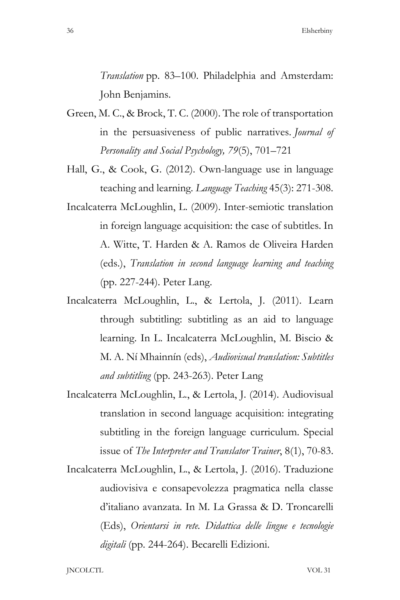*Translation* pp. 83–100. Philadelphia and Amsterdam: John Benjamins.

- Green, M. C., & Brock, T. C. (2000). The role of transportation in the persuasiveness of public narratives. *Journal of Personality and Social Psychology, 79*(5), 701–721
- Hall, G., & Cook, G. (2012). Own-language use in language teaching and learning. *Language Teaching* 45(3): 271-308.
- Incalcaterra McLoughlin, L. (2009). Inter-semiotic translation in foreign language acquisition: the case of subtitles. In A. Witte, T. Harden & A. Ramos de Oliveira Harden (eds.), *Translation in second language learning and teaching* (pp. 227-244). Peter Lang.
- Incalcaterra McLoughlin, L., & Lertola, J. (2011). Learn through subtitling: subtitling as an aid to language learning. In L. Incalcaterra McLoughlin, M. Biscio & M. A. Ní Mhainnín (eds), *Audiovisual translation: Subtitles and subtitling* (pp. 243-263). Peter Lang
- Incalcaterra McLoughlin, L., & Lertola, J. (2014). Audiovisual translation in second language acquisition: integrating subtitling in the foreign language curriculum. Special issue of *The Interpreter and Translator Trainer*, 8(1), 70-83.
- Incalcaterra McLoughlin, L., & Lertola, J. (2016). Traduzione audiovisiva e consapevolezza pragmatica nella classe d'italiano avanzata. In M. La Grassa & D. Troncarelli (Eds), *Orientarsi in rete. Didattica delle lingue e tecnologie digitali* (pp. 244-264). Becarelli Edizioni.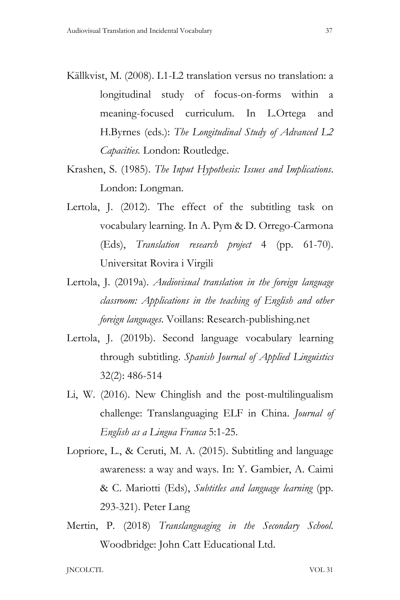- Källkvist, M. (2008). L1-L2 translation versus no translation: a longitudinal study of focus-on-forms within a meaning-focused curriculum. In L.Ortega and H.Byrnes (eds.): *The Longitudinal Study of Advanced L2 Capacities.* London: Routledge.
- Krashen, S. (1985). *The Input Hypothesis: Issues and Implications*. London: Longman.
- Lertola, J. (2012). The effect of the subtitling task on vocabulary learning. In A. Pym & D. Orrego-Carmona (Eds), *Translation research project* 4 (pp. 61-70). Universitat Rovira i Virgili
- Lertola, J. (2019a). *Audiovisual translation in the foreign language classroom: Applications in the teaching of English and other foreign languages*. Voillans: Research-publishing.net
- Lertola, J. (2019b). Second language vocabulary learning through subtitling. *Spanish Journal of Applied Linguistics* 32(2): 486-514
- Li, W. (2016). New Chinglish and the post-multilingualism challenge: Translanguaging ELF in China. *Journal of English as a Lingua Franca* 5:1-25.
- Lopriore, L., & Ceruti, M. A. (2015). Subtitling and language awareness: a way and ways. In: Y. Gambier, A. Caimi & C. Mariotti (Eds), *Subtitles and language learning* (pp. 293-321). Peter Lang
- Mertin, P. (2018) *Translanguaging in the Secondary School*. Woodbridge: John Catt Educational Ltd.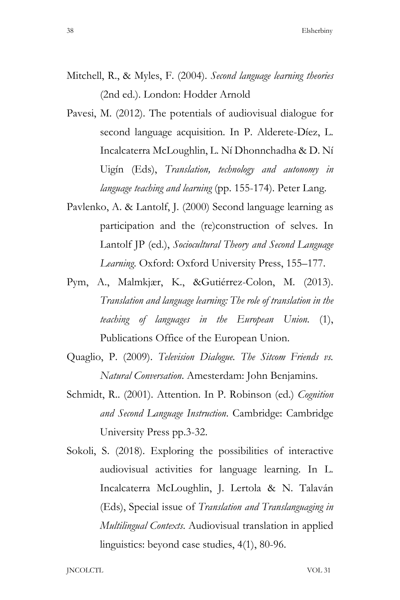- Mitchell, R., & Myles, F. (2004). *Second language learning theories* (2nd ed.). London: Hodder Arnold
- Pavesi, M. (2012). The potentials of audiovisual dialogue for second language acquisition. In P. Alderete-Díez, L. Incalcaterra McLoughlin, L. Ní Dhonnchadha & D. Ní Uigín (Eds), *Translation, technology and autonomy in language teaching and learning* (pp. 155-174). Peter Lang.
- Pavlenko, A. & Lantolf, J. (2000) Second language learning as participation and the (re)construction of selves. In Lantolf JP (ed.), *Sociocultural Theory and Second Language Learning*. Oxford: Oxford University Press, 155–177.
- Pym, A., Malmkjær, K., &Gutiérrez-Colon, M. (2013). *Translation and language learning: The role of translation in the teaching of languages in the European Union.* (1), Publications Office of the European Union.
- Quaglio, P. (2009). *Television Dialogue. The Sitcom Friends vs. Natural Conversation*. Amesterdam: John Benjamins.
- Schmidt, R.. (2001). Attention. In P. Robinson (ed.) *Cognition and Second Language Instruction*. Cambridge: Cambridge University Press pp.3-32.
- Sokoli, S. (2018). Exploring the possibilities of interactive audiovisual activities for language learning. In L. Incalcaterra McLoughlin, J. Lertola & N. Talaván (Eds), Special issue of *Translation and Translanguaging in Multilingual Contexts*. Audiovisual translation in applied linguistics: beyond case studies, 4(1), 80-96.